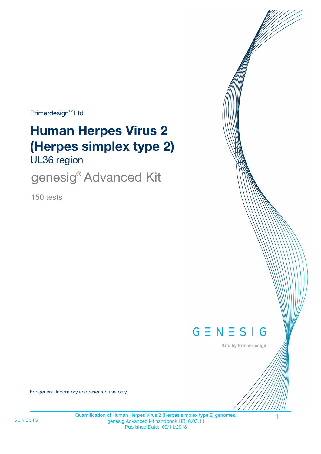Primerdesign<sup>™</sup>Ltd

# UL36 region **Human Herpes Virus 2 (Herpes simplex type 2)**

genesig<sup>®</sup> Advanced Kit

150 tests



Kits by Primerdesign

For general laboratory and research use only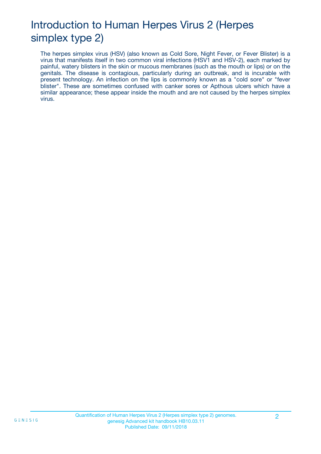# Introduction to Human Herpes Virus 2 (Herpes simplex type 2)

The herpes simplex virus (HSV) (also known as Cold Sore, Night Fever, or Fever Blister) is a virus that manifests itself in two common viral infections (HSV1 and HSV-2), each marked by painful, watery blisters in the skin or mucous membranes (such as the mouth or lips) or on the genitals. The disease is contagious, particularly during an outbreak, and is incurable with present technology. An infection on the lips is commonly known as a "cold sore" or "fever blister". These are sometimes confused with canker sores or Apthous ulcers which have a similar appearance; these appear inside the mouth and are not caused by the herpes simplex virus.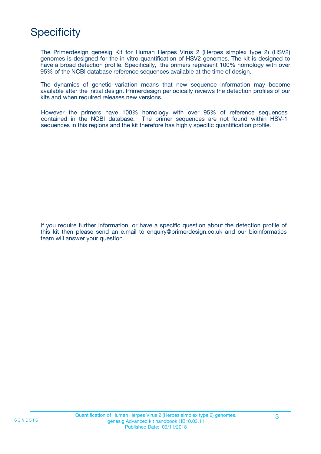## **Specificity**

The Primerdesign genesig Kit for Human Herpes Virus 2 (Herpes simplex type 2) (HSV2) genomes is designed for the in vitro quantification of HSV2 genomes. The kit is designed to have a broad detection profile. Specifically, the primers represent 100% homology with over 95% of the NCBI database reference sequences available at the time of design.

The dynamics of genetic variation means that new sequence information may become available after the initial design. Primerdesign periodically reviews the detection profiles of our kits and when required releases new versions.

However the primers have 100% homology with over 95% of reference sequences contained in the NCBI database. The primer sequences are not found within HSV-1 sequences in this regions and the kit therefore has highly specific quantification profile.

If you require further information, or have a specific question about the detection profile of this kit then please send an e.mail to enquiry@primerdesign.co.uk and our bioinformatics team will answer your question.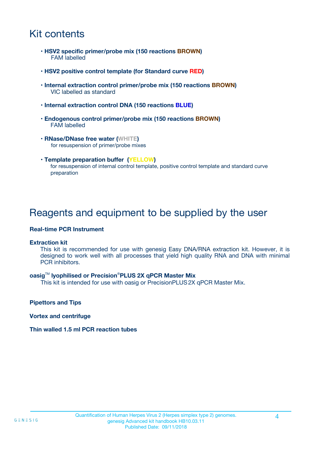## Kit contents

- **HSV2 specific primer/probe mix (150 reactions BROWN)** FAM labelled
- **HSV2 positive control template (for Standard curve RED)**
- **Internal extraction control primer/probe mix (150 reactions BROWN)** VIC labelled as standard
- **Internal extraction control DNA (150 reactions BLUE)**
- **Endogenous control primer/probe mix (150 reactions BROWN)** FAM labelled
- **RNase/DNase free water (WHITE)** for resuspension of primer/probe mixes
- **Template preparation buffer (YELLOW)** for resuspension of internal control template, positive control template and standard curve preparation

### Reagents and equipment to be supplied by the user

#### **Real-time PCR Instrument**

#### **Extraction kit**

This kit is recommended for use with genesig Easy DNA/RNA extraction kit. However, it is designed to work well with all processes that yield high quality RNA and DNA with minimal PCR inhibitors.

#### **oasig**TM **lyophilised or Precision**®**PLUS 2X qPCR Master Mix**

This kit is intended for use with oasig or PrecisionPLUS2X qPCR Master Mix.

**Pipettors and Tips**

**Vortex and centrifuge**

#### **Thin walled 1.5 ml PCR reaction tubes**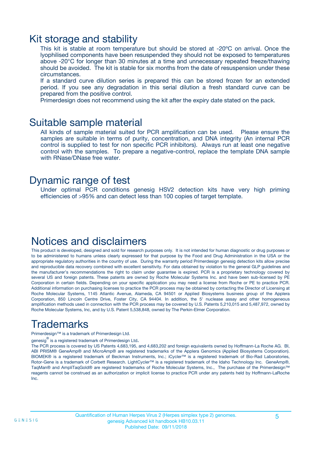### Kit storage and stability

This kit is stable at room temperature but should be stored at -20ºC on arrival. Once the lyophilised components have been resuspended they should not be exposed to temperatures above -20°C for longer than 30 minutes at a time and unnecessary repeated freeze/thawing should be avoided. The kit is stable for six months from the date of resuspension under these circumstances.

If a standard curve dilution series is prepared this can be stored frozen for an extended period. If you see any degradation in this serial dilution a fresh standard curve can be prepared from the positive control.

Primerdesign does not recommend using the kit after the expiry date stated on the pack.

### Suitable sample material

All kinds of sample material suited for PCR amplification can be used. Please ensure the samples are suitable in terms of purity, concentration, and DNA integrity (An internal PCR control is supplied to test for non specific PCR inhibitors). Always run at least one negative control with the samples. To prepare a negative-control, replace the template DNA sample with RNase/DNase free water.

### Dynamic range of test

Under optimal PCR conditions genesig HSV2 detection kits have very high priming efficiencies of >95% and can detect less than 100 copies of target template.

## Notices and disclaimers

This product is developed, designed and sold for research purposes only. It is not intended for human diagnostic or drug purposes or to be administered to humans unless clearly expressed for that purpose by the Food and Drug Administration in the USA or the appropriate regulatory authorities in the country of use. During the warranty period Primerdesign genesig detection kits allow precise and reproducible data recovery combined with excellent sensitivity. For data obtained by violation to the general GLP guidelines and the manufacturer's recommendations the right to claim under guarantee is expired. PCR is a proprietary technology covered by several US and foreign patents. These patents are owned by Roche Molecular Systems Inc. and have been sub-licensed by PE Corporation in certain fields. Depending on your specific application you may need a license from Roche or PE to practice PCR. Additional information on purchasing licenses to practice the PCR process may be obtained by contacting the Director of Licensing at Roche Molecular Systems, 1145 Atlantic Avenue, Alameda, CA 94501 or Applied Biosystems business group of the Applera Corporation, 850 Lincoln Centre Drive, Foster City, CA 94404. In addition, the 5' nuclease assay and other homogeneous amplification methods used in connection with the PCR process may be covered by U.S. Patents 5,210,015 and 5,487,972, owned by Roche Molecular Systems, Inc, and by U.S. Patent 5,538,848, owned by The Perkin-Elmer Corporation.

## Trademarks

Primerdesign™ is a trademark of Primerdesign Ltd.

genesig $^\circledR$  is a registered trademark of Primerdesign Ltd.

The PCR process is covered by US Patents 4,683,195, and 4,683,202 and foreign equivalents owned by Hoffmann-La Roche AG. BI, ABI PRISM® GeneAmp® and MicroAmp® are registered trademarks of the Applera Genomics (Applied Biosystems Corporation). BIOMEK® is a registered trademark of Beckman Instruments, Inc.; iCycler™ is a registered trademark of Bio-Rad Laboratories, Rotor-Gene is a trademark of Corbett Research. LightCycler™ is a registered trademark of the Idaho Technology Inc. GeneAmp®, TaqMan® and AmpliTaqGold® are registered trademarks of Roche Molecular Systems, Inc., The purchase of the Primerdesign™ reagents cannot be construed as an authorization or implicit license to practice PCR under any patents held by Hoffmann-LaRoche Inc.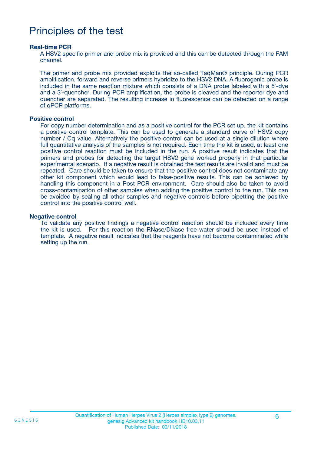### Principles of the test

#### **Real-time PCR**

A HSV2 specific primer and probe mix is provided and this can be detected through the FAM channel.

The primer and probe mix provided exploits the so-called TaqMan® principle. During PCR amplification, forward and reverse primers hybridize to the HSV2 DNA. A fluorogenic probe is included in the same reaction mixture which consists of a DNA probe labeled with a 5`-dye and a 3`-quencher. During PCR amplification, the probe is cleaved and the reporter dye and quencher are separated. The resulting increase in fluorescence can be detected on a range of qPCR platforms.

#### **Positive control**

For copy number determination and as a positive control for the PCR set up, the kit contains a positive control template. This can be used to generate a standard curve of HSV2 copy number / Cq value. Alternatively the positive control can be used at a single dilution where full quantitative analysis of the samples is not required. Each time the kit is used, at least one positive control reaction must be included in the run. A positive result indicates that the primers and probes for detecting the target HSV2 gene worked properly in that particular experimental scenario. If a negative result is obtained the test results are invalid and must be repeated. Care should be taken to ensure that the positive control does not contaminate any other kit component which would lead to false-positive results. This can be achieved by handling this component in a Post PCR environment. Care should also be taken to avoid cross-contamination of other samples when adding the positive control to the run. This can be avoided by sealing all other samples and negative controls before pipetting the positive control into the positive control well.

#### **Negative control**

To validate any positive findings a negative control reaction should be included every time the kit is used. For this reaction the RNase/DNase free water should be used instead of template. A negative result indicates that the reagents have not become contaminated while setting up the run.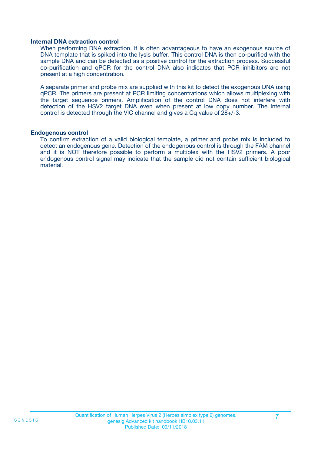#### **Internal DNA extraction control**

When performing DNA extraction, it is often advantageous to have an exogenous source of DNA template that is spiked into the lysis buffer. This control DNA is then co-purified with the sample DNA and can be detected as a positive control for the extraction process. Successful co-purification and qPCR for the control DNA also indicates that PCR inhibitors are not present at a high concentration.

A separate primer and probe mix are supplied with this kit to detect the exogenous DNA using qPCR. The primers are present at PCR limiting concentrations which allows multiplexing with the target sequence primers. Amplification of the control DNA does not interfere with detection of the HSV2 target DNA even when present at low copy number. The Internal control is detected through the VIC channel and gives a Cq value of 28+/-3.

#### **Endogenous control**

To confirm extraction of a valid biological template, a primer and probe mix is included to detect an endogenous gene. Detection of the endogenous control is through the FAM channel and it is NOT therefore possible to perform a multiplex with the HSV2 primers. A poor endogenous control signal may indicate that the sample did not contain sufficient biological material.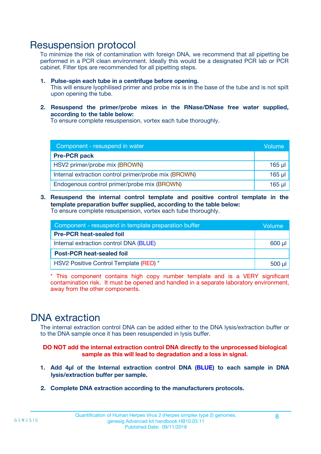### Resuspension protocol

To minimize the risk of contamination with foreign DNA, we recommend that all pipetting be performed in a PCR clean environment. Ideally this would be a designated PCR lab or PCR cabinet. Filter tips are recommended for all pipetting steps.

- **1. Pulse-spin each tube in a centrifuge before opening.** This will ensure lyophilised primer and probe mix is in the base of the tube and is not spilt upon opening the tube.
- **2. Resuspend the primer/probe mixes in the RNase/DNase free water supplied, according to the table below:**

To ensure complete resuspension, vortex each tube thoroughly.

| Component - resuspend in water                       |         |  |
|------------------------------------------------------|---------|--|
| <b>Pre-PCR pack</b>                                  |         |  |
| HSV2 primer/probe mix (BROWN)                        | $165$ µ |  |
| Internal extraction control primer/probe mix (BROWN) | $165$ µ |  |
| Endogenous control primer/probe mix (BROWN)          | 165 µl  |  |

**3. Resuspend the internal control template and positive control template in the template preparation buffer supplied, according to the table below:** To ensure complete resuspension, vortex each tube thoroughly.

| Component - resuspend in template preparation buffer |          |  |
|------------------------------------------------------|----------|--|
| <b>Pre-PCR heat-sealed foil</b>                      |          |  |
| Internal extraction control DNA (BLUE)               |          |  |
| <b>Post-PCR heat-sealed foil</b>                     |          |  |
| HSV2 Positive Control Template (RED) *               | $500$ µl |  |

\* This component contains high copy number template and is a VERY significant contamination risk. It must be opened and handled in a separate laboratory environment, away from the other components.

### DNA extraction

The internal extraction control DNA can be added either to the DNA lysis/extraction buffer or to the DNA sample once it has been resuspended in lysis buffer.

**DO NOT add the internal extraction control DNA directly to the unprocessed biological sample as this will lead to degradation and a loss in signal.**

- **1. Add 4µl of the Internal extraction control DNA (BLUE) to each sample in DNA lysis/extraction buffer per sample.**
- **2. Complete DNA extraction according to the manufacturers protocols.**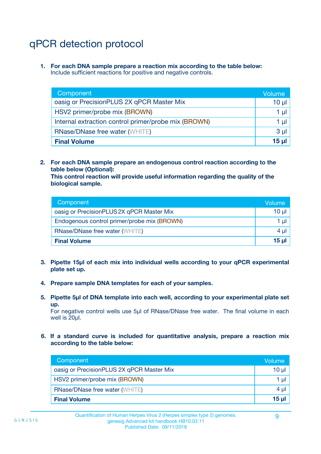## qPCR detection protocol

**1. For each DNA sample prepare a reaction mix according to the table below:** Include sufficient reactions for positive and negative controls.

| Component                                            | Volume   |
|------------------------------------------------------|----------|
| oasig or PrecisionPLUS 2X qPCR Master Mix            | $10 \mu$ |
| HSV2 primer/probe mix (BROWN)                        | 1 µI l   |
| Internal extraction control primer/probe mix (BROWN) | 1 µl     |
| <b>RNase/DNase free water (WHITE)</b>                | $3 \mu$  |
| <b>Final Volume</b>                                  | 15 µl    |

**2. For each DNA sample prepare an endogenous control reaction according to the table below (Optional):**

**This control reaction will provide useful information regarding the quality of the biological sample.**

| Component                                   | Volume   |
|---------------------------------------------|----------|
| oasig or PrecisionPLUS 2X qPCR Master Mix   | $10 \mu$ |
| Endogenous control primer/probe mix (BROWN) | 1 µI     |
| <b>RNase/DNase free water (WHITE)</b>       | $4 \mu$  |
| <b>Final Volume</b>                         | 15 µl    |

- **3. Pipette 15µl of each mix into individual wells according to your qPCR experimental plate set up.**
- **4. Prepare sample DNA templates for each of your samples.**
- **5. Pipette 5µl of DNA template into each well, according to your experimental plate set up.**

For negative control wells use 5µl of RNase/DNase free water. The final volume in each well is 20ul.

**6. If a standard curve is included for quantitative analysis, prepare a reaction mix according to the table below:**

| Component                                 | Volume       |
|-------------------------------------------|--------------|
| oasig or PrecisionPLUS 2X qPCR Master Mix | 10 ul        |
| HSV2 primer/probe mix (BROWN)             |              |
| <b>RNase/DNase free water (WHITE)</b>     | $4 \mu$      |
| <b>Final Volume</b>                       | <u>15 µl</u> |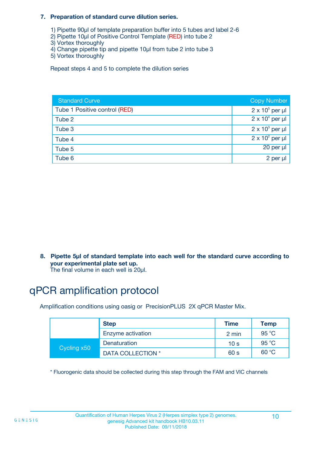#### **7. Preparation of standard curve dilution series.**

- 1) Pipette 90µl of template preparation buffer into 5 tubes and label 2-6
- 2) Pipette 10µl of Positive Control Template (RED) into tube 2
- 3) Vortex thoroughly
- 4) Change pipette tip and pipette 10µl from tube 2 into tube 3
- 5) Vortex thoroughly

Repeat steps 4 and 5 to complete the dilution series

| <b>Standard Curve</b>         | <b>Copy Number</b>     |
|-------------------------------|------------------------|
| Tube 1 Positive control (RED) | $2 \times 10^5$ per µl |
| Tube 2                        | $2 \times 10^4$ per µl |
| Tube 3                        | $2 \times 10^3$ per µl |
| Tube 4                        | $2 \times 10^2$ per µl |
| Tube 5                        | $20$ per $\mu$         |
| Tube 6                        | 2 per µl               |

**8. Pipette 5µl of standard template into each well for the standard curve according to your experimental plate set up.**

#### The final volume in each well is 20µl.

## qPCR amplification protocol

Amplification conditions using oasig or PrecisionPLUS 2X qPCR Master Mix.

|             | <b>Step</b>       | <b>Time</b>     | Temp    |
|-------------|-------------------|-----------------|---------|
|             | Enzyme activation | 2 min           | 95 °C   |
| Cycling x50 | Denaturation      | 10 <sub>s</sub> | 95 $°C$ |
|             | DATA COLLECTION * | 60 s            | 60 °C   |

\* Fluorogenic data should be collected during this step through the FAM and VIC channels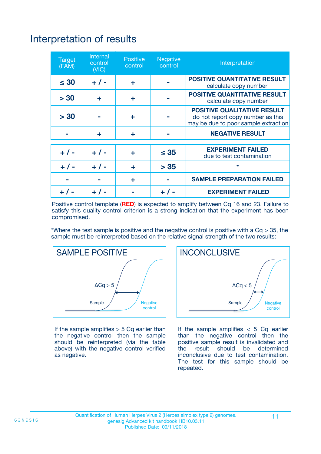# Interpretation of results

| <b>Target</b><br>(FAM) | Internal<br>control<br>(NIC) | <b>Positive</b><br>control | Negative<br>control | Interpretation                                                                                                  |
|------------------------|------------------------------|----------------------------|---------------------|-----------------------------------------------------------------------------------------------------------------|
| $\leq 30$              | $+ 1 -$                      | ÷                          |                     | <b>POSITIVE QUANTITATIVE RESULT</b><br>calculate copy number                                                    |
| > 30                   | ÷                            | ÷                          |                     | <b>POSITIVE QUANTITATIVE RESULT</b><br>calculate copy number                                                    |
| > 30                   |                              | ÷                          |                     | <b>POSITIVE QUALITATIVE RESULT</b><br>do not report copy number as this<br>may be due to poor sample extraction |
|                        | ÷                            | ÷                          |                     | <b>NEGATIVE RESULT</b>                                                                                          |
|                        |                              |                            |                     | <b>EXPERIMENT FAILED</b>                                                                                        |
| $+ 1 -$                | $+ 1 -$                      | ÷                          | $\leq 35$           | due to test contamination                                                                                       |
| $+ 1 -$                | $+ 1 -$                      | ÷                          | > 35                | $\star$                                                                                                         |
|                        |                              | ÷                          |                     | <b>SAMPLE PREPARATION FAILED</b>                                                                                |
|                        |                              |                            |                     | <b>EXPERIMENT FAILED</b>                                                                                        |

Positive control template (**RED**) is expected to amplify between Cq 16 and 23. Failure to satisfy this quality control criterion is a strong indication that the experiment has been compromised.

\*Where the test sample is positive and the negative control is positive with a  $Ca > 35$ , the sample must be reinterpreted based on the relative signal strength of the two results:



If the sample amplifies  $> 5$  Cq earlier than the negative control then the sample should be reinterpreted (via the table above) with the negative control verified as negative.



If the sample amplifies  $< 5$  Cq earlier than the negative control then the positive sample result is invalidated and<br>the result should be determined  $the$  result should be inconclusive due to test contamination. The test for this sample should be repeated.